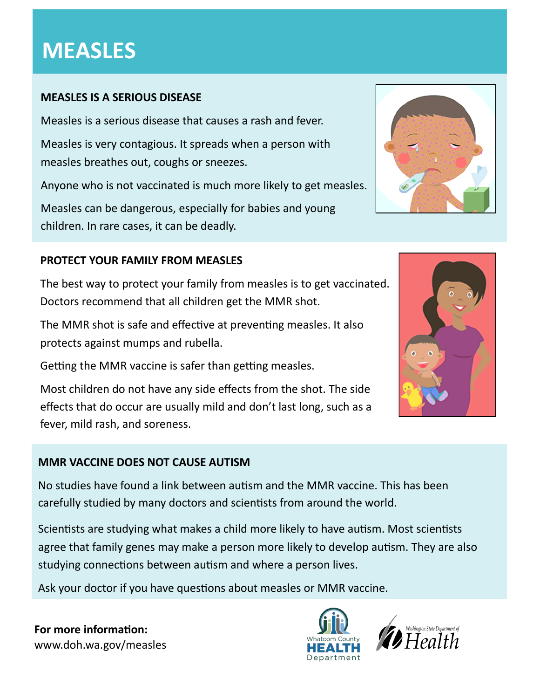# **MEASLES**

# **MEASLES IS A SERIOUS DISEASE**

Measles is a serious disease that causes a rash and fever.

Measles is very contagious. It spreads when a person with measles breathes out, coughs or sneezes.

Anyone who is not vaccinated is much more likely to get measles.

Measles can be dangerous, especially for babies and young children. In rare cases, it can be deadly.

# **PROTECT YOUR FAMILY FROM MEASLES**

The best way to protect your family from measles is to get vaccinated. Doctors recommend that all children get the MMR shot.

The MMR shot is safe and effective at preventing measles. It also protects against mumps and rubella.

Getting the MMR vaccine is safer than getting measles.

Most children do not have any side effects from the shot. The side effects that do occur are usually mild and don't last long, such as a fever, mild rash, and soreness.

# **MMR VACCINE DOES NOT CAUSE AUTISM**

No studies have found a link between autism and the MMR vaccine. This has been carefully studied by many doctors and scientists from around the world.

Scientists are studying what makes a child more likely to have autism. Most scientists agree that family genes may make a person more likely to develop autism. They are also studying connections between autism and where a person lives.

Ask your doctor if you have questions about measles or MMR vaccine.

**For more information:** www.doh.wa.gov/measles